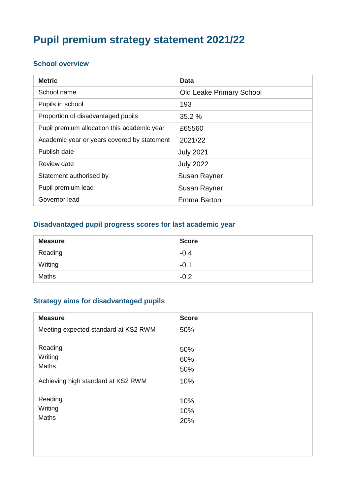# **Pupil premium strategy statement 2021/22**

#### **School overview**

| <b>Metric</b>                               | Data                            |
|---------------------------------------------|---------------------------------|
| School name                                 | <b>Old Leake Primary School</b> |
| Pupils in school                            | 193                             |
| Proportion of disadvantaged pupils          | 35.2%                           |
| Pupil premium allocation this academic year | £65560                          |
| Academic year or years covered by statement | 2021/22                         |
| Publish date                                | <b>July 2021</b>                |
| Review date                                 | <b>July 2022</b>                |
| Statement authorised by                     | <b>Susan Rayner</b>             |
| Pupil premium lead                          | <b>Susan Rayner</b>             |
| Governor lead                               | Emma Barton                     |

#### **Disadvantaged pupil progress scores for last academic year**

| <b>Measure</b> | <b>Score</b> |
|----------------|--------------|
| Reading        | $-0.4$       |
| Writing        | $-0.1$       |
| <b>Maths</b>   | $-0.2$       |

#### **Strategy aims for disadvantaged pupils**

| <b>Measure</b>                       | <b>Score</b>      |
|--------------------------------------|-------------------|
| Meeting expected standard at KS2 RWM | 50%               |
| Reading<br>Writing<br>Maths          | 50%<br>60%<br>50% |
| Achieving high standard at KS2 RWM   | 10%               |
| Reading<br>Writing<br><b>Maths</b>   | 10%<br>10%<br>20% |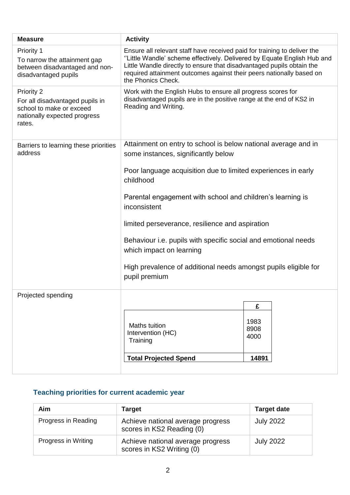| <b>Measure</b>                                                                                                      | <b>Activity</b>                                                                                                                                                                                                                                                                                                            |                      |  |  |
|---------------------------------------------------------------------------------------------------------------------|----------------------------------------------------------------------------------------------------------------------------------------------------------------------------------------------------------------------------------------------------------------------------------------------------------------------------|----------------------|--|--|
| Priority 1<br>To narrow the attainment gap<br>between disadvantaged and non-<br>disadvantaged pupils                | Ensure all relevant staff have received paid for training to deliver the<br>"Little Wandle' scheme effectively. Delivered by Equate English Hub and<br>Little Wandle directly to ensure that disadvantaged pupils obtain the<br>required attainment outcomes against their peers nationally based on<br>the Phonics Check. |                      |  |  |
| Priority 2<br>For all disadvantaged pupils in<br>school to make or exceed<br>nationally expected progress<br>rates. | Work with the English Hubs to ensure all progress scores for<br>disadvantaged pupils are in the positive range at the end of KS2 in<br>Reading and Writing.                                                                                                                                                                |                      |  |  |
| Barriers to learning these priorities<br>address                                                                    | Attainment on entry to school is below national average and in<br>some instances, significantly below                                                                                                                                                                                                                      |                      |  |  |
|                                                                                                                     | Poor language acquisition due to limited experiences in early<br>childhood                                                                                                                                                                                                                                                 |                      |  |  |
|                                                                                                                     | Parental engagement with school and children's learning is<br>inconsistent                                                                                                                                                                                                                                                 |                      |  |  |
|                                                                                                                     | limited perseverance, resilience and aspiration                                                                                                                                                                                                                                                                            |                      |  |  |
|                                                                                                                     | Behaviour <i>i.e.</i> pupils with specific social and emotional needs<br>which impact on learning                                                                                                                                                                                                                          |                      |  |  |
|                                                                                                                     | High prevalence of additional needs amongst pupils eligible for<br>pupil premium                                                                                                                                                                                                                                           |                      |  |  |
| Projected spending                                                                                                  |                                                                                                                                                                                                                                                                                                                            |                      |  |  |
|                                                                                                                     |                                                                                                                                                                                                                                                                                                                            | £                    |  |  |
|                                                                                                                     | Maths tuition<br>Intervention (HC)<br>Training                                                                                                                                                                                                                                                                             | 1983<br>8908<br>4000 |  |  |
|                                                                                                                     | <b>Total Projected Spend</b><br>14891                                                                                                                                                                                                                                                                                      |                      |  |  |

# **Teaching priorities for current academic year**

| Aim                 | Target                                                         | <b>Target date</b> |
|---------------------|----------------------------------------------------------------|--------------------|
| Progress in Reading | Achieve national average progress<br>scores in KS2 Reading (0) | <b>July 2022</b>   |
| Progress in Writing | Achieve national average progress<br>scores in KS2 Writing (0) | <b>July 2022</b>   |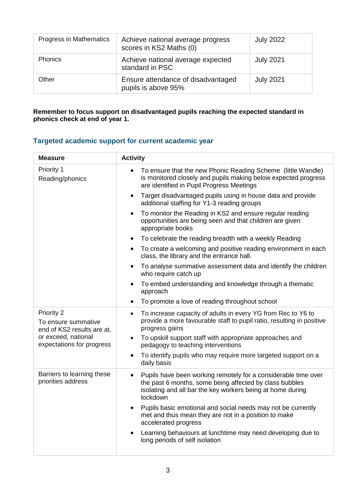| Progress in Mathematics | Achieve national average progress<br>scores in KS2 Maths (0) | <b>July 2022</b> |
|-------------------------|--------------------------------------------------------------|------------------|
| <b>Phonics</b>          | Achieve national average expected<br>standard in PSC         | <b>July 2021</b> |
| Other                   | Ensure attendance of disadvantaged<br>pupils is above 95%    | <b>July 2021</b> |

**Remember to focus support on disadvantaged pupils reaching the expected standard in phonics check at end of year 1.**

### **Targeted academic support for current academic year**

| <b>Measure</b>                                                  | <b>Activity</b>                                                                                                                                                                                                  |  |  |  |
|-----------------------------------------------------------------|------------------------------------------------------------------------------------------------------------------------------------------------------------------------------------------------------------------|--|--|--|
| Priority 1<br>Reading/phonics                                   | To ensure that the new Phonic Reading Scheme (little Wandle)<br>$\bullet$<br>is monitored closely and pupils making below expected progress<br>are identified in Pupil Progress Meetings                         |  |  |  |
|                                                                 | Target disadvantaged pupils using in house data and provide<br>$\bullet$<br>additional staffing for Y1-3 reading groups                                                                                          |  |  |  |
|                                                                 | To monitor the Reading in KS2 and ensure regular reading<br>$\bullet$<br>opportunities are being seen and that children are given<br>appropriate books                                                           |  |  |  |
|                                                                 | To celebrate the reading breadth with a weekly Reading<br>$\bullet$                                                                                                                                              |  |  |  |
|                                                                 | To create a welcoming and positive reading environment in each<br>$\bullet$<br>class, the library and the entrance hall.                                                                                         |  |  |  |
|                                                                 | To analyse summative assessment data and identify the children<br>$\bullet$<br>who require catch up                                                                                                              |  |  |  |
|                                                                 | To embed understanding and knowledge through a thematic<br>$\bullet$<br>approach                                                                                                                                 |  |  |  |
|                                                                 | To promote a love of reading throughout school<br>$\bullet$                                                                                                                                                      |  |  |  |
| Priority 2<br>To ensure summative<br>end of KS2 results are at, | To increase capacity of adults in every YG from Rec to Y6 to<br>$\bullet$<br>provide a more favourable staff to pupil ratio, resulting in positive<br>progress gains                                             |  |  |  |
| or exceed, national<br>expectations for progress                | To upskill support staff with appropriate approaches and<br>$\bullet$<br>pedagogy to teaching interventions                                                                                                      |  |  |  |
|                                                                 | To identify pupils who may require more targeted support on a<br>$\bullet$<br>daily basis                                                                                                                        |  |  |  |
| Barriers to learning these<br>priorities address                | Pupils have been working remotely for a considerable time over<br>$\bullet$<br>the past 6 months, some being affected by class bubbles<br>isolating and all bar the key workers being at home during<br>lockdown |  |  |  |
|                                                                 | Pupils basic emotional and social needs may not be currently<br>$\bullet$<br>met and thus mean they are not in a position to make<br>accelerated progress                                                        |  |  |  |
|                                                                 | Learning behaviours at lunchtime may need developing due to<br>$\bullet$<br>long periods of self isolation                                                                                                       |  |  |  |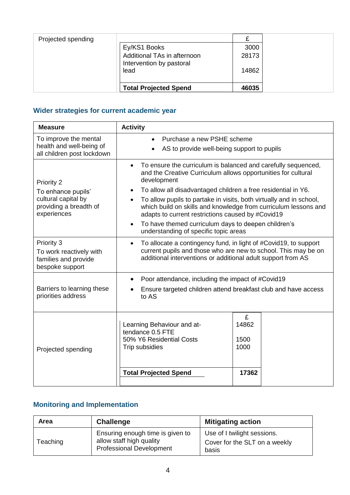| Projected spending |                                                         |       |  |
|--------------------|---------------------------------------------------------|-------|--|
|                    | Ey/KS1 Books                                            | 3000  |  |
|                    | Additional TAs in afternoon<br>Intervention by pastoral | 28173 |  |
|                    | lead                                                    | 14862 |  |
|                    | <b>Total Projected Spend</b>                            | 46035 |  |

## **Wider strategies for current academic year**

| <b>Measure</b>                                                                                   | <b>Activity</b>                                                                                                                                                                                                                                                                                                                                                                                                                                                                                                                                                   |                                     |  |  |
|--------------------------------------------------------------------------------------------------|-------------------------------------------------------------------------------------------------------------------------------------------------------------------------------------------------------------------------------------------------------------------------------------------------------------------------------------------------------------------------------------------------------------------------------------------------------------------------------------------------------------------------------------------------------------------|-------------------------------------|--|--|
| To improve the mental<br>health and well-being of<br>all children post lockdown                  | Purchase a new PSHE scheme<br>$\bullet$<br>AS to provide well-being support to pupils                                                                                                                                                                                                                                                                                                                                                                                                                                                                             |                                     |  |  |
| Priority 2<br>To enhance pupils'<br>cultural capital by<br>providing a breadth of<br>experiences | To ensure the curriculum is balanced and carefully sequenced,<br>$\bullet$<br>and the Creative Curriculum allows opportunities for cultural<br>development<br>To allow all disadvantaged children a free residential in Y6.<br>$\bullet$<br>To allow pupils to partake in visits, both virtually and in school,<br>$\bullet$<br>which build on skills and knowledge from curriculum lessons and<br>adapts to current restrictions caused by #Covid19<br>To have themed curriculum days to deepen children's<br>$\bullet$<br>understanding of specific topic areas |                                     |  |  |
| Priority 3<br>To work reactively with<br>families and provide<br>bespoke support                 | To allocate a contingency fund, in light of #Covid19, to support<br>$\bullet$<br>current pupils and those who are new to school. This may be on<br>additional interventions or additional adult support from AS                                                                                                                                                                                                                                                                                                                                                   |                                     |  |  |
| Barriers to learning these<br>priorities address                                                 | Poor attendance, including the impact of #Covid19<br>$\bullet$<br>Ensure targeted children attend breakfast club and have access<br>to AS                                                                                                                                                                                                                                                                                                                                                                                                                         |                                     |  |  |
| Projected spending                                                                               | Learning Behaviour and at-<br>tendance 0.5 FTE<br>50% Y6 Residential Costs<br>Trip subsidies<br><b>Total Projected Spend</b>                                                                                                                                                                                                                                                                                                                                                                                                                                      | £<br>14862<br>1500<br>1000<br>17362 |  |  |

## **Monitoring and Implementation**

| <b>Area</b> | <b>Challenge</b>                                                                                | <b>Mitigating action</b>                                              |
|-------------|-------------------------------------------------------------------------------------------------|-----------------------------------------------------------------------|
| Teaching    | Ensuring enough time is given to<br>allow staff high quality<br><b>Professional Development</b> | Use of I twilight sessions.<br>Cover for the SLT on a weekly<br>basis |